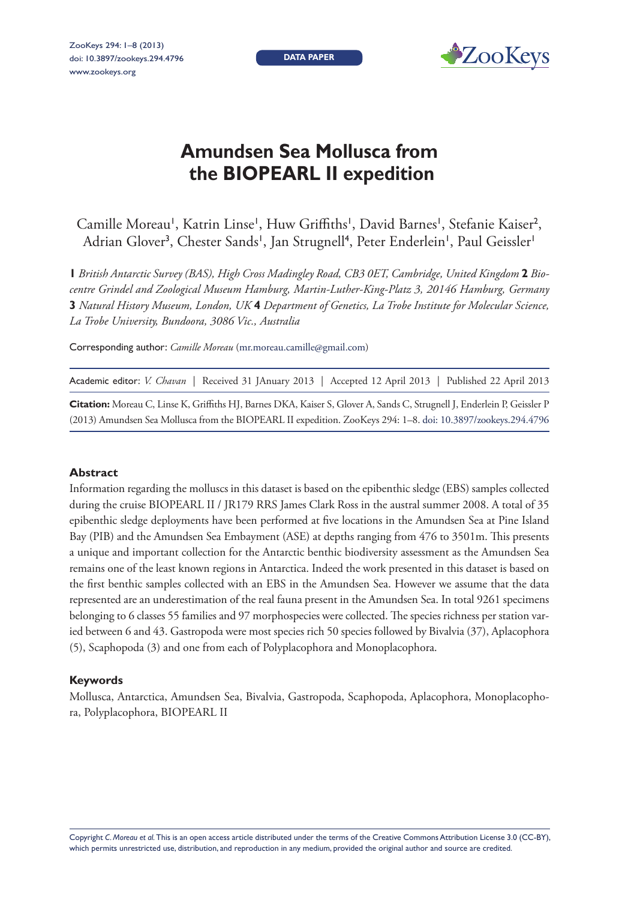**data paper**



# **Amundsen Sea Mollusca from the BIOPEARL II expedition**

Camille Moreau<sup>1</sup>, Katrin Linse<sup>1</sup>, Huw Griffiths<sup>1</sup>, David Barnes<sup>1</sup>, Stefanie Kaiser<sup>2</sup>, Adrian Glover<sup>3</sup>, Chester Sands', Jan Strugnell<sup>4</sup>, Peter Enderlein', Paul Geissler'

**1** *British Antarctic Survey (BAS), High Cross Madingley Road, CB3 0ET, Cambridge, United Kingdom* **2** *Biocentre Grindel and Zoological Museum Hamburg, Martin-Luther-King-Platz 3, 20146 Hamburg, Germany*  **3** *Natural History Museum, London, UK* **4** *Department of Genetics, La Trobe Institute for Molecular Science, La Trobe University, Bundoora, 3086 Vic., Australia*

Corresponding author: *Camille Moreau* ([mr.moreau.camille@gmail.com](mailto:mr.moreau.camille@gmail.com))

Academic editor: *V. Chavan* | Received 31 JAnuary 2013 | Accepted 12 April 2013 | Published 22 April 2013

**Citation:** Moreau C, Linse K, Griffiths HJ, Barnes DKA, Kaiser S, Glover A, Sands C, Strugnell J, Enderlein P, Geissler P (2013) Amundsen Sea Mollusca from the BIOPEARL II expedition. ZooKeys 294: 1–8. [doi: 10.3897/zookeys.294.4796](http://dx.doi.org/10.3897/zookeys.294.4796)

#### **Abstract**

Information regarding the molluscs in this dataset is based on the epibenthic sledge (EBS) samples collected during the cruise BIOPEARL II / JR179 RRS James Clark Ross in the austral summer 2008. A total of 35 epibenthic sledge deployments have been performed at five locations in the Amundsen Sea at Pine Island Bay (PIB) and the Amundsen Sea Embayment (ASE) at depths ranging from 476 to 3501m. This presents a unique and important collection for the Antarctic benthic biodiversity assessment as the Amundsen Sea remains one of the least known regions in Antarctica. Indeed the work presented in this dataset is based on the first benthic samples collected with an EBS in the Amundsen Sea. However we assume that the data represented are an underestimation of the real fauna present in the Amundsen Sea. In total 9261 specimens belonging to 6 classes 55 families and 97 morphospecies were collected. The species richness per station varied between 6 and 43. Gastropoda were most species rich 50 species followed by Bivalvia (37), Aplacophora (5), Scaphopoda (3) and one from each of Polyplacophora and Monoplacophora.

#### **Keywords**

Mollusca, Antarctica, Amundsen Sea, Bivalvia, Gastropoda, Scaphopoda, Aplacophora, Monoplacophora, Polyplacophora, BIOPEARL II

Copyright *C. Moreau et al.* This is an open access article distributed under the terms of the [Creative Commons Attribution License 3.0 \(CC-BY\),](http://creativecommons.org/licenses/by/3.0/) which permits unrestricted use, distribution, and reproduction in any medium, provided the original author and source are credited.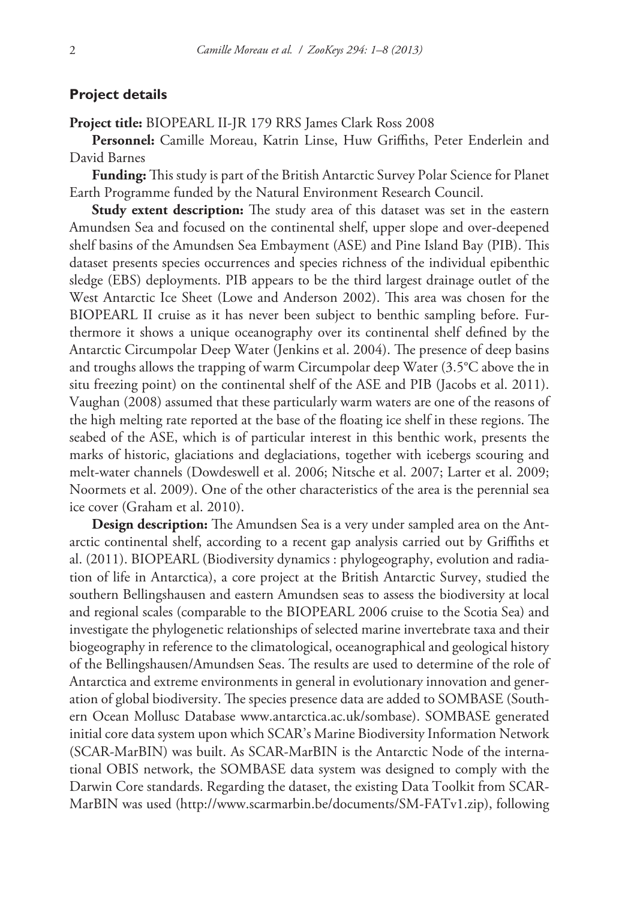## **Project details**

# **Project title:** BIOPEARL II-JR 179 RRS James Clark Ross 2008

**Personnel:** Camille Moreau, Katrin Linse, Huw Griffiths, Peter Enderlein and David Barnes

**Funding:** This study is part of the British Antarctic Survey Polar Science for Planet Earth Programme funded by the Natural Environment Research Council.

**Study extent description:** The study area of this dataset was set in the eastern Amundsen Sea and focused on the continental shelf, upper slope and over-deepened shelf basins of the Amundsen Sea Embayment (ASE) and Pine Island Bay (PIB). This dataset presents species occurrences and species richness of the individual epibenthic sledge (EBS) deployments. PIB appears to be the third largest drainage outlet of the West Antarctic Ice Sheet (Lowe and Anderson 2002). This area was chosen for the BIOPEARL II cruise as it has never been subject to benthic sampling before. Furthermore it shows a unique oceanography over its continental shelf defined by the Antarctic Circumpolar Deep Water (Jenkins et al. 2004). The presence of deep basins and troughs allows the trapping of warm Circumpolar deep Water (3.5°C above the in situ freezing point) on the continental shelf of the ASE and PIB (Jacobs et al. 2011). Vaughan (2008) assumed that these particularly warm waters are one of the reasons of the high melting rate reported at the base of the floating ice shelf in these regions. The seabed of the ASE, which is of particular interest in this benthic work, presents the marks of historic, glaciations and deglaciations, together with icebergs scouring and melt-water channels (Dowdeswell et al. 2006; Nitsche et al. 2007; Larter et al. 2009; Noormets et al. 2009). One of the other characteristics of the area is the perennial sea ice cover (Graham et al. 2010).

**Design description:** The Amundsen Sea is a very under sampled area on the Antarctic continental shelf, according to a recent gap analysis carried out by Griffiths et al. (2011). BIOPEARL (Biodiversity dynamics : phylogeography, evolution and radiation of life in Antarctica), a core project at the British Antarctic Survey, studied the southern Bellingshausen and eastern Amundsen seas to assess the biodiversity at local and regional scales (comparable to the BIOPEARL 2006 cruise to the Scotia Sea) and investigate the phylogenetic relationships of selected marine invertebrate taxa and their biogeography in reference to the climatological, oceanographical and geological history of the Bellingshausen/Amundsen Seas. The results are used to determine of the role of Antarctica and extreme environments in general in evolutionary innovation and generation of global biodiversity. The species presence data are added to SOMBASE (Southern Ocean Mollusc Database <www.antarctica.ac.uk/sombase>). SOMBASE generated initial core data system upon which SCAR's Marine Biodiversity Information Network (SCAR-MarBIN) was built. As SCAR-MarBIN is the Antarctic Node of the international OBIS network, the SOMBASE data system was designed to comply with the Darwin Core standards. Regarding the dataset, the existing Data Toolkit from SCAR-MarBIN was used [\(http://www.scarmarbin.be/documents/SM-FATv1.zip](http://www.scarmarbin.be/documents/SM-FATv1.zip)), following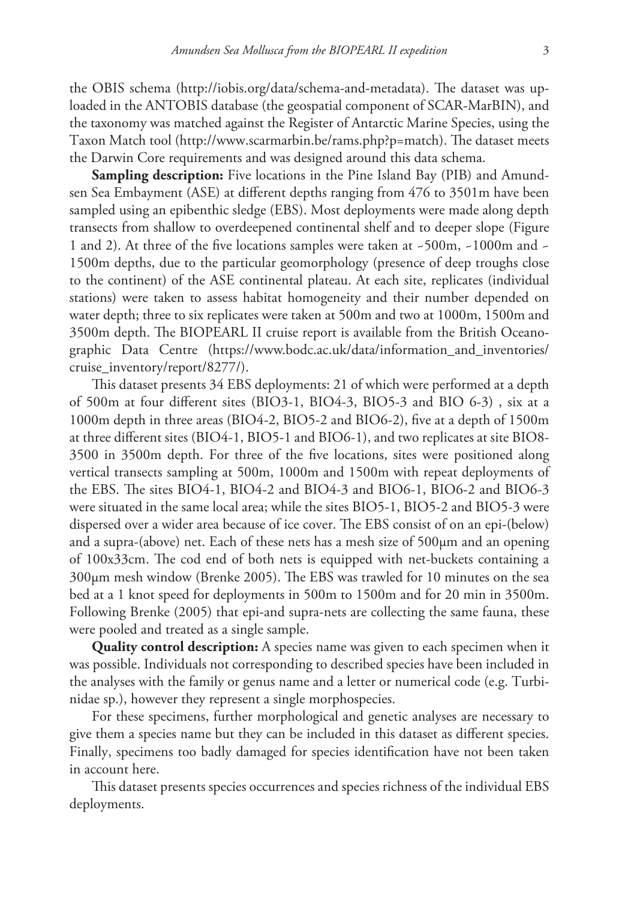**Sampling description:** Five locations in the Pine Island Bay (PIB) and Amundsen Sea Embayment (ASE) at different depths ranging from 476 to 3501m have been sampled using an epibenthic sledge (EBS). Most deployments were made along depth transects from shallow to overdeepened continental shelf and to deeper slope (Figure 1 and 2). At three of the five locations samples were taken at ~500m, ~1000m and ~ 1500m depths, due to the particular geomorphology (presence of deep troughs close to the continent) of the ASE continental plateau. At each site, replicates (individual stations) were taken to assess habitat homogeneity and their number depended on water depth; three to six replicates were taken at 500m and two at 1000m, 1500m and 3500m depth. The BIOPEARL II cruise report is available from the British Oceanographic Data Centre ([https://www.bodc.ac.uk/data/information\\_and\\_inventories/](n.Type) [cruise\\_inventory/report/8277/\)](https://www.bodc.ac.uk/data/information_and_inventories/cruise_inventory/report/8277/).

This dataset presents 34 EBS deployments: 21 of which were performed at a depth of 500m at four different sites (BIO3-1, BIO4-3, BIO5-3 and BIO 6-3) , six at a 1000m depth in three areas (BIO4-2, BIO5-2 and BIO6-2), five at a depth of 1500m at three different sites (BIO4-1, BIO5-1 and BIO6-1), and two replicates at site BIO8- 3500 in 3500m depth. For three of the five locations, sites were positioned along vertical transects sampling at 500m, 1000m and 1500m with repeat deployments of the EBS. The sites BIO4-1, BIO4-2 and BIO4-3 and BIO6-1, BIO6-2 and BIO6-3 were situated in the same local area; while the sites BIO5-1, BIO5-2 and BIO5-3 were dispersed over a wider area because of ice cover. The EBS consist of on an epi-(below) and a supra-(above) net. Each of these nets has a mesh size of 500μm and an opening of 100x33cm. The cod end of both nets is equipped with net-buckets containing a 300μm mesh window (Brenke 2005). The EBS was trawled for 10 minutes on the sea bed at a 1 knot speed for deployments in 500m to 1500m and for 20 min in 3500m. Following Brenke (2005) that epi-and supra-nets are collecting the same fauna, these were pooled and treated as a single sample.

**Quality control description:** A species name was given to each specimen when it was possible. Individuals not corresponding to described species have been included in the analyses with the family or genus name and a letter or numerical code (e.g. Turbinidae sp.), however they represent a single morphospecies.

For these specimens, further morphological and genetic analyses are necessary to give them a species name but they can be included in this dataset as different species. Finally, specimens too badly damaged for species identification have not been taken in account here.

This dataset presents species occurrences and species richness of the individual EBS deployments.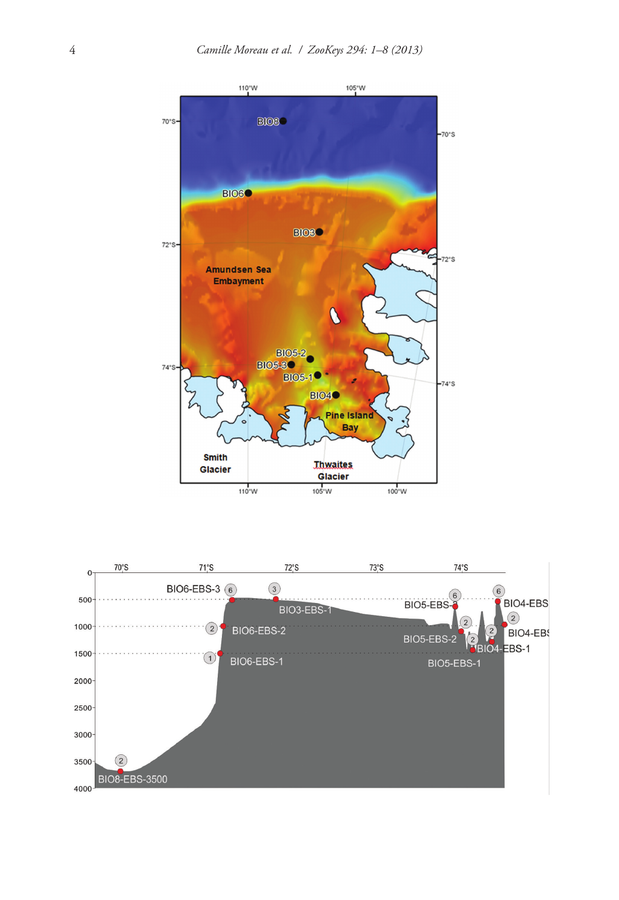

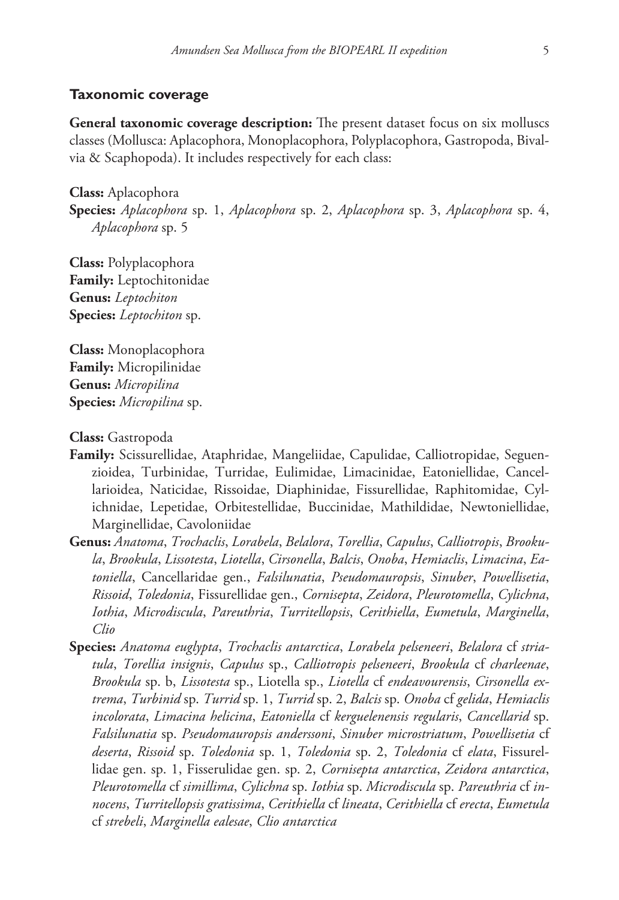## **Taxonomic coverage**

**General taxonomic coverage description:** The present dataset focus on six molluscs classes (Mollusca: Aplacophora, Monoplacophora, Polyplacophora, Gastropoda, Bivalvia & Scaphopoda). It includes respectively for each class:

**Class:** Aplacophora **Species:** *Aplacophora* sp. 1, *Aplacophora* sp. 2, *Aplacophora* sp. 3, *Aplacophora* sp. 4, *Aplacophora* sp. 5

**Class:** Polyplacophora **Family:** Leptochitonidae **Genus:** *Leptochiton* **Species:** *Leptochiton* sp.

**Class:** Monoplacophora **Family:** Micropilinidae **Genus:** *Micropilina* **Species:** *Micropilina* sp.

#### **Class:** Gastropoda

- **Family:** Scissurellidae, Ataphridae, Mangeliidae, Capulidae, Calliotropidae, Seguenzioidea, Turbinidae, Turridae, Eulimidae, Limacinidae, Eatoniellidae, Cancellarioidea, Naticidae, Rissoidae, Diaphinidae, Fissurellidae, Raphitomidae, Cylichnidae, Lepetidae, Orbitestellidae, Buccinidae, Mathildidae, Newtoniellidae, Marginellidae, Cavoloniidae
- **Genus:** *Anatoma*, *Trochaclis*, *Lorabela*, *Belalora*, *Torellia*, *Capulus*, *Calliotropis*, *Brookula*, *Brookula*, *Lissotesta*, *Liotella*, *Cirsonella*, *Balcis*, *Onoba*, *Hemiaclis*, *Limacina*, *Eatoniella*, Cancellaridae gen., *Falsilunatia*, *Pseudomauropsis*, *Sinuber*, *Powellisetia*, *Rissoid*, *Toledonia*, Fissurellidae gen., *Cornisepta*, *Zeidora*, *Pleurotomella*, *Cylichna*, *Iothia*, *Microdiscula*, *Pareuthria*, *Turritellopsis*, *Cerithiella*, *Eumetula*, *Marginella*, *Clio*
- **Species:** *Anatoma euglypta*, *Trochaclis antarctica*, *Lorabela pelseneeri*, *Belalora* cf *striatula*, *Torellia insignis*, *Capulus* sp., *Calliotropis pelseneeri*, *Brookula* cf *charleenae*, *Brookula* sp. b, *Lissotesta* sp., Liotella sp., *Liotella* cf *endeavourensis*, *Cirsonella extrema*, *Turbinid* sp. *Turrid* sp. 1, *Turrid* sp. 2, *Balcis* sp. *Onoba* cf *gelida*, *Hemiaclis incolorata*, *Limacina helicina*, *Eatoniella* cf *kerguelenensis regularis*, *Cancellarid* sp. *Falsilunatia* sp. *Pseudomauropsis anderssoni*, *Sinuber microstriatum*, *Powellisetia* cf *deserta*, *Rissoid* sp. *Toledonia* sp. 1, *Toledonia* sp. 2, *Toledonia* cf *elata*, Fissurellidae gen. sp. 1, Fisserulidae gen. sp. 2, *Cornisepta antarctica*, *Zeidora antarctica*, *Pleurotomella* cf *simillima*, *Cylichna* sp. *Iothia* sp. *Microdiscula* sp. *Pareuthria* cf *innocens*, *Turritellopsis gratissima*, *Cerithiella* cf *lineata*, *Cerithiella* cf *erecta*, *Eumetula* cf *strebeli*, *Marginella ealesae*, *Clio antarctica*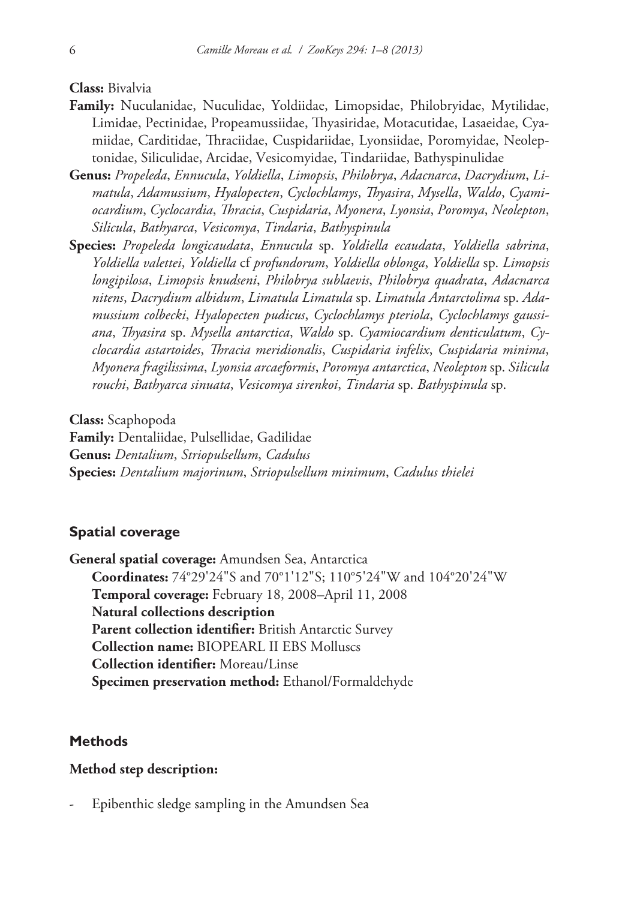**Class:** Bivalvia

- **Family:** Nuculanidae, Nuculidae, Yoldiidae, Limopsidae, Philobryidae, Mytilidae, Limidae, Pectinidae, Propeamussiidae, Thyasiridae, Motacutidae, Lasaeidae, Cyamiidae, Carditidae, Thraciidae, Cuspidariidae, Lyonsiidae, Poromyidae, Neoleptonidae, Siliculidae, Arcidae, Vesicomyidae, Tindariidae, Bathyspinulidae
- **Genus:** *Propeleda*, *Ennucula*, *Yoldiella*, *Limopsis*, *Philobrya*, *Adacnarca*, *Dacrydium*, *Limatula*, *Adamussium*, *Hyalopecten*, *Cyclochlamys*, *Thyasira*, *Mysella*, *Waldo*, *Cyamiocardium*, *Cyclocardia*, *Thracia*, *Cuspidaria*, *Myonera*, *Lyonsia*, *Poromya*, *Neolepton*, *Silicula*, *Bathyarca*, *Vesicomya*, *Tindaria*, *Bathyspinula*
- **Species:** *Propeleda longicaudata*, *Ennucula* sp. *Yoldiella ecaudata*, *Yoldiella sabrina*, *Yoldiella valettei*, *Yoldiella* cf *profundorum*, *Yoldiella oblonga*, *Yoldiella* sp. *Limopsis longipilosa*, *Limopsis knudseni*, *Philobrya sublaevis*, *Philobrya quadrata*, *Adacnarca nitens*, *Dacrydium albidum*, *Limatula Limatula* sp. *Limatula Antarctolima* sp. *Adamussium colbecki*, *Hyalopecten pudicus*, *Cyclochlamys pteriola*, *Cyclochlamys gaussiana*, *Thyasira* sp. *Mysella antarctica*, *Waldo* sp. *Cyamiocardium denticulatum*, *Cyclocardia astartoides*, *Thracia meridionalis*, *Cuspidaria infelix*, *Cuspidaria minima*, *Myonera fragilissima*, *Lyonsia arcaeformis*, *Poromya antarctica*, *Neolepton* sp. *Silicula rouchi*, *Bathyarca sinuata*, *Vesicomya sirenkoi*, *Tindaria* sp. *Bathyspinula* sp.

**Class:** Scaphopoda

**Family:** Dentaliidae, Pulsellidae, Gadilidae **Genus:** *Dentalium*, *Striopulsellum*, *Cadulus* **Species:** *Dentalium majorinum*, *Striopulsellum minimum*, *Cadulus thielei*

# **Spatial coverage**

**General spatial coverage:** Amundsen Sea, Antarctica **Coordinates:** 74°29'24"S and 70°1'12"S; 110°5'24"W and 104°20'24"W **Temporal coverage:** February 18, 2008–April 11, 2008 **Natural collections description** Parent collection identifier: British Antarctic Survey **Collection name:** BIOPEARL II EBS Molluscs **Collection identifier:** Moreau/Linse **Specimen preservation method:** Ethanol/Formaldehyde

#### **Methods**

### **Method step description:**

- Epibenthic sledge sampling in the Amundsen Sea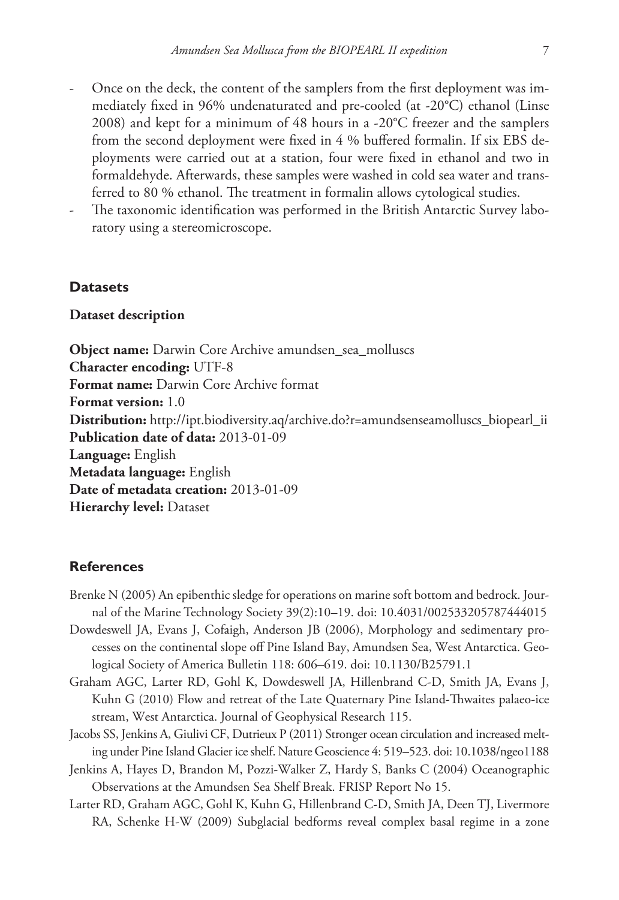- 
- Once on the deck, the content of the samplers from the first deployment was immediately fixed in 96% undenaturated and pre-cooled (at -20°C) ethanol (Linse 2008) and kept for a minimum of 48 hours in a -20°C freezer and the samplers from the second deployment were fixed in 4 % buffered formalin. If six EBS deployments were carried out at a station, four were fixed in ethanol and two in formaldehyde. Afterwards, these samples were washed in cold sea water and transferred to 80 % ethanol. The treatment in formalin allows cytological studies.
- The taxonomic identification was performed in the British Antarctic Survey laboratory using a stereomicroscope.

# **Datasets**

## **Dataset description**

**Object name:** Darwin Core Archive amundsen\_sea\_molluscs **Character encoding:** UTF-8 **Format name:** Darwin Core Archive format **Format version:** 1.0 **Distribution:** [http://ipt.biodiversity.aq/archive.do?r=amundsenseamolluscs\\_biopearl\\_ii](http://ipt.biodiversity.aq/archive.do?r=amundsenseamolluscs_biopearl_ii) **Publication date of data:** 2013-01-09 **Language:** English **Metadata language:** English **Date of metadata creation:** 2013-01-09 **Hierarchy level:** Dataset

# **References**

- Brenke N (2005) An epibenthic sledge for operations on marine soft bottom and bedrock. Journal of the Marine Technology Society 39(2):10–19. [doi: 10.4031/002533205787444015](http://dx.doi.org/10.4031/002533205787444015)
- Dowdeswell JA, Evans J, Cofaigh, Anderson JB (2006), Morphology and sedimentary processes on the continental slope off Pine Island Bay, Amundsen Sea, West Antarctica. Geological Society of America Bulletin 118: 606–619. [doi: 10.1130/B25791.1](http://dx.doi.org/10.1130/B25791.1)
- Graham AGC, Larter RD, Gohl K, Dowdeswell JA, Hillenbrand C-D, Smith JA, Evans J, Kuhn G (2010) Flow and retreat of the Late Quaternary Pine Island-Thwaites palaeo-ice stream, West Antarctica. Journal of Geophysical Research 115.
- Jacobs SS, Jenkins A, Giulivi CF, Dutrieux P (2011) Stronger ocean circulation and increased melting under Pine Island Glacier ice shelf. Nature Geoscience 4: 519–523. [doi: 10.1038/ngeo1188](http://dx.doi.org/10.1038/ngeo1188)
- Jenkins A, Hayes D, Brandon M, Pozzi-Walker Z, Hardy S, Banks C (2004) Oceanographic Observations at the Amundsen Sea Shelf Break. FRISP Report No 15.
- Larter RD, Graham AGC, Gohl K, Kuhn G, Hillenbrand C-D, Smith JA, Deen TJ, Livermore RA, Schenke H-W (2009) Subglacial bedforms reveal complex basal regime in a zone